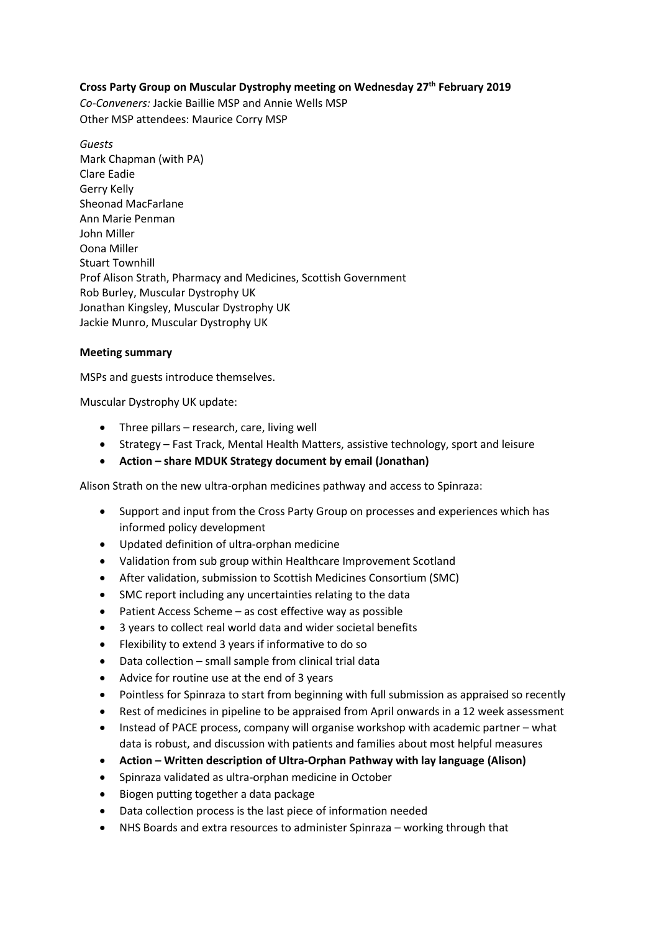## **Cross Party Group on Muscular Dystrophy meeting on Wednesday 27th February 2019**

*Co-Conveners:* Jackie Baillie MSP and Annie Wells MSP Other MSP attendees: Maurice Corry MSP

*Guests* Mark Chapman (with PA) Clare Eadie Gerry Kelly Sheonad MacFarlane Ann Marie Penman John Miller Oona Miller Stuart Townhill Prof Alison Strath, Pharmacy and Medicines, Scottish Government Rob Burley, Muscular Dystrophy UK Jonathan Kingsley, Muscular Dystrophy UK Jackie Munro, Muscular Dystrophy UK

## **Meeting summary**

MSPs and guests introduce themselves.

Muscular Dystrophy UK update:

- Three pillars research, care, living well
- Strategy Fast Track, Mental Health Matters, assistive technology, sport and leisure
- **Action – share MDUK Strategy document by email (Jonathan)**

Alison Strath on the new ultra-orphan medicines pathway and access to Spinraza:

- Support and input from the Cross Party Group on processes and experiences which has informed policy development
- Updated definition of ultra-orphan medicine
- Validation from sub group within Healthcare Improvement Scotland
- After validation, submission to Scottish Medicines Consortium (SMC)
- SMC report including any uncertainties relating to the data
- Patient Access Scheme as cost effective way as possible
- 3 years to collect real world data and wider societal benefits
- Flexibility to extend 3 years if informative to do so
- Data collection small sample from clinical trial data
- Advice for routine use at the end of 3 years
- Pointless for Spinraza to start from beginning with full submission as appraised so recently
- Rest of medicines in pipeline to be appraised from April onwards in a 12 week assessment
- Instead of PACE process, company will organise workshop with academic partner what data is robust, and discussion with patients and families about most helpful measures
- **Action – Written description of Ultra-Orphan Pathway with lay language (Alison)**
- Spinraza validated as ultra-orphan medicine in October
- Biogen putting together a data package
- Data collection process is the last piece of information needed
- NHS Boards and extra resources to administer Spinraza working through that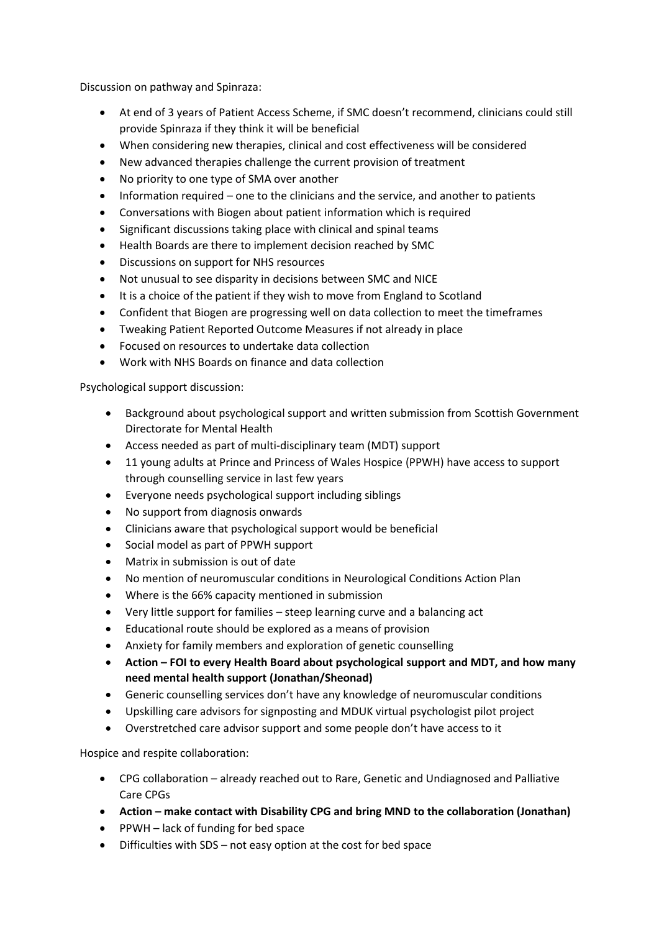Discussion on pathway and Spinraza:

- At end of 3 years of Patient Access Scheme, if SMC doesn't recommend, clinicians could still provide Spinraza if they think it will be beneficial
- When considering new therapies, clinical and cost effectiveness will be considered
- New advanced therapies challenge the current provision of treatment
- No priority to one type of SMA over another
- Information required one to the clinicians and the service, and another to patients
- Conversations with Biogen about patient information which is required
- Significant discussions taking place with clinical and spinal teams
- Health Boards are there to implement decision reached by SMC
- Discussions on support for NHS resources
- Not unusual to see disparity in decisions between SMC and NICE
- It is a choice of the patient if they wish to move from England to Scotland
- Confident that Biogen are progressing well on data collection to meet the timeframes
- Tweaking Patient Reported Outcome Measures if not already in place
- Focused on resources to undertake data collection
- Work with NHS Boards on finance and data collection

Psychological support discussion:

- Background about psychological support and written submission from Scottish Government Directorate for Mental Health
- Access needed as part of multi-disciplinary team (MDT) support
- 11 young adults at Prince and Princess of Wales Hospice (PPWH) have access to support through counselling service in last few years
- Everyone needs psychological support including siblings
- No support from diagnosis onwards
- Clinicians aware that psychological support would be beneficial
- Social model as part of PPWH support
- Matrix in submission is out of date
- No mention of neuromuscular conditions in Neurological Conditions Action Plan
- Where is the 66% capacity mentioned in submission
- Very little support for families steep learning curve and a balancing act
- Educational route should be explored as a means of provision
- Anxiety for family members and exploration of genetic counselling
- **Action – FOI to every Health Board about psychological support and MDT, and how many need mental health support (Jonathan/Sheonad)**
- Generic counselling services don't have any knowledge of neuromuscular conditions
- Upskilling care advisors for signposting and MDUK virtual psychologist pilot project
- Overstretched care advisor support and some people don't have access to it

Hospice and respite collaboration:

- CPG collaboration already reached out to Rare, Genetic and Undiagnosed and Palliative Care CPGs
- **•** Action make contact with Disability CPG and bring MND to the collaboration (Jonathan)
- PPWH lack of funding for bed space
- Difficulties with SDS not easy option at the cost for bed space